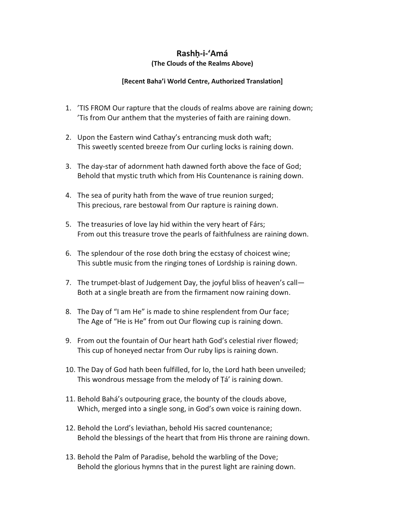## Rashh-i-'Amá

## (The Clouds of the Realms Above)

## [Recent Baha'i World Centre, Authorized Translation]

- 1. 'TIS FROM Our rapture that the clouds of realms above are raining down; 'Tis from Our anthem that the mysteries of faith are raining down.
- 2. Upon the Eastern wind Cathay's entrancing musk doth waft; This sweetly scented breeze from Our curling locks is raining down.
- 3. The day-star of adornment hath dawned forth above the face of God; Behold that mystic truth which from His Countenance is raining down.
- 4. The sea of purity hath from the wave of true reunion surged; This precious, rare bestowal from Our rapture is raining down.
- 5. The treasuries of love lay hid within the very heart of Fárs; From out this treasure trove the pearls of faithfulness are raining down.
- 6. The splendour of the rose doth bring the ecstasy of choicest wine; This subtle music from the ringing tones of Lordship is raining down.
- 7. The trumpet-blast of Judgement Day, the joyful bliss of heaven's call— Both at a single breath are from the firmament now raining down.
- 8. The Day of "I am He" is made to shine resplendent from Our face; The Age of "He is He" from out Our flowing cup is raining down.
- 9. From out the fountain of Our heart hath God's celestial river flowed; This cup of honeyed nectar from Our ruby lips is raining down.
- 10. The Day of God hath been fulfilled, for lo, the Lord hath been unveiled; This wondrous message from the melody of Ṭá' is raining down.
- 11. Behold Bahá's outpouring grace, the bounty of the clouds above, Which, merged into a single song, in God's own voice is raining down.
- 12. Behold the Lord's leviathan, behold His sacred countenance; Behold the blessings of the heart that from His throne are raining down.
- 13. Behold the Palm of Paradise, behold the warbling of the Dove; Behold the glorious hymns that in the purest light are raining down.